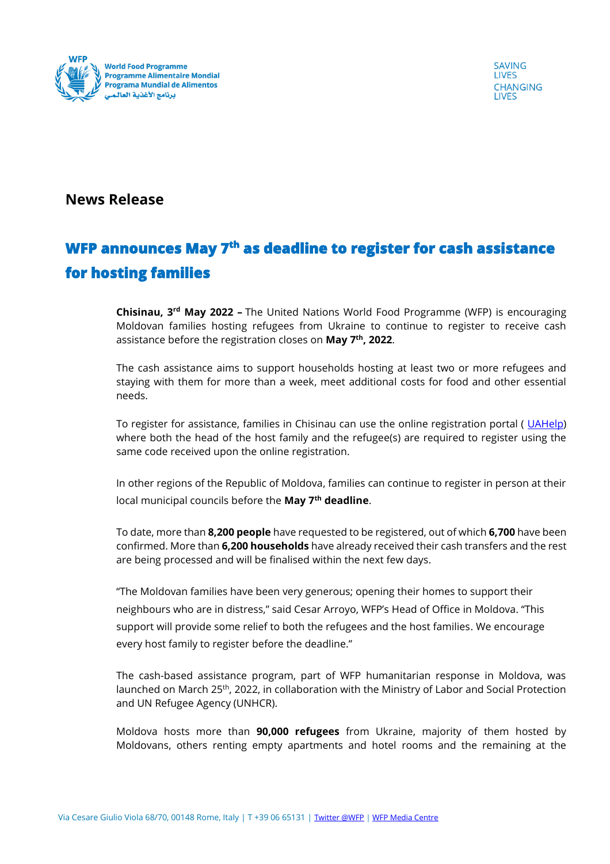

**SAVING LIVES CHANGING LIVES** 

## **News Release**

## **WFP announces May 7th as deadline to register for cash assistance for hosting families**

**Chisinau, 3rd May 2022 –** The United Nations World Food Programme (WFP) is encouraging Moldovan families hosting refugees from Ukraine to continue to register to receive cash assistance before the registration closes on **May 7th, 2022**.

The cash assistance aims to support households hosting at least two or more refugees and staying with them for more than a week, meet additional costs for food and other essential needs.

To register for assistance, families in Chisinau can use the online registration portal ([UAHelp\)](https://uahelp.md/selfregistration) where both the head of the host family and the refugee(s) are required to register using the same code received upon the online registration.

In other regions of the Republic of Moldova, families can continue to register in person at their local municipal councils before the **May 7th deadline**.

To date, more than **8,200 people** have requested to be registered, out of which **6,700** have been confirmed. More than **6,200 households** have already received their cash transfers and the rest are being processed and will be finalised within the next few days.

"The Moldovan families have been very generous; opening their homes to support their neighbours who are in distress," said Cesar Arroyo, WFP's Head of Office in Moldova. "This support will provide some relief to both the refugees and the host families. We encourage every host family to register before the deadline."

The cash-based assistance program, part of WFP humanitarian response in Moldova, was launched on March 25<sup>th</sup>, 2022, in collaboration with the Ministry of Labor and Social Protection and UN Refugee Agency (UNHCR).

Moldova hosts more than **90,000 refugees** from Ukraine, majority of them hosted by Moldovans, others renting empty apartments and hotel rooms and the remaining at the